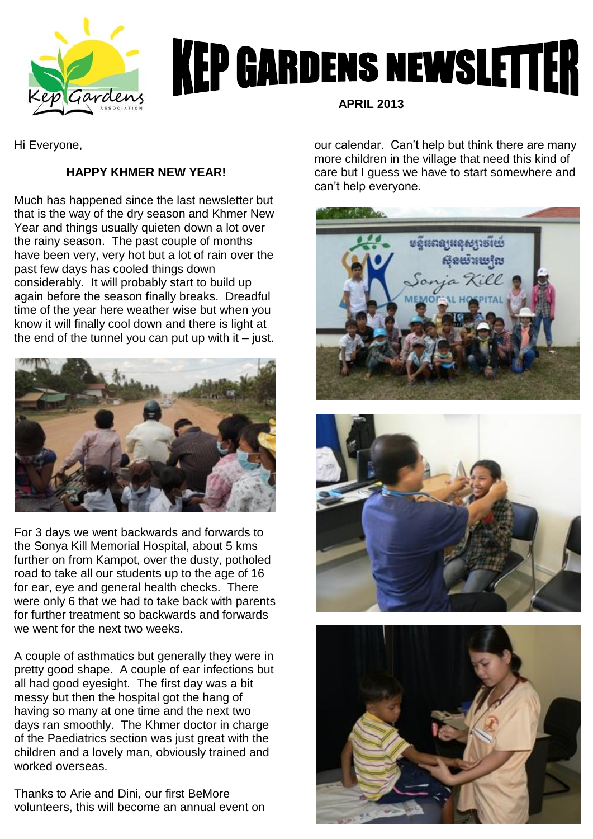

## **KEP GARDENS NEWSLETTER**

Hi Everyone,

## **HAPPY KHMER NEW YEAR!**

Much has happened since the last newsletter but that is the way of the dry season and Khmer New Year and things usually quieten down a lot over the rainy season. The past couple of months have been very, very hot but a lot of rain over the past few days has cooled things down considerably. It will probably start to build up again before the season finally breaks. Dreadful time of the year here weather wise but when you know it will finally cool down and there is light at the end of the tunnel you can put up with it  $-$  just.



For 3 days we went backwards and forwards to the Sonya Kill Memorial Hospital, about 5 kms further on from Kampot, over the dusty, potholed road to take all our students up to the age of 16 for ear, eye and general health checks. There were only 6 that we had to take back with parents for further treatment so backwards and forwards we went for the next two weeks.

A couple of asthmatics but generally they were in pretty good shape. A couple of ear infections but all had good eyesight. The first day was a bit messy but then the hospital got the hang of having so many at one time and the next two days ran smoothly. The Khmer doctor in charge of the Paediatrics section was just great with the children and a lovely man, obviously trained and worked overseas.

Thanks to Arie and Dini, our first BeMore volunteers, this will become an annual event on  **APRIL 2013**

our calendar. Can't help but think there are many more children in the village that need this kind of care but I guess we have to start somewhere and can't help everyone.



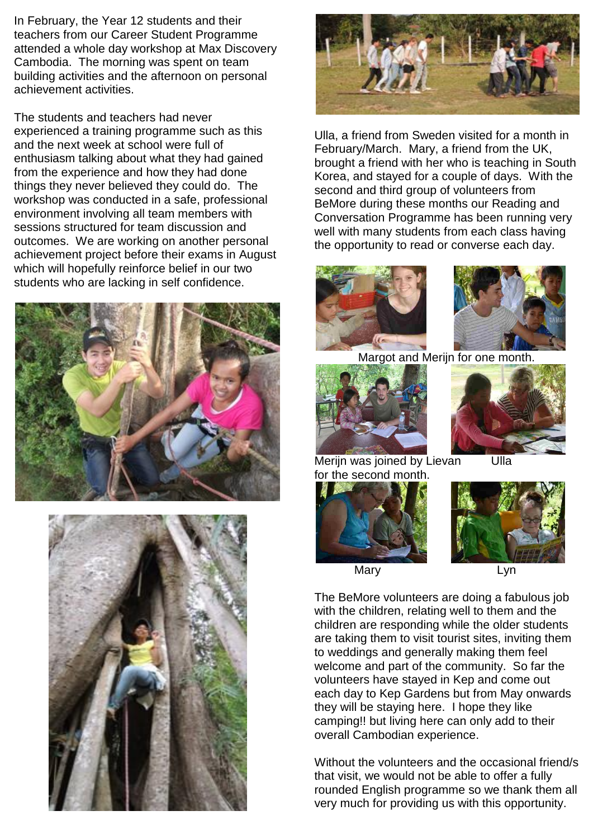In February, the Year 12 students and their teachers from our Career Student Programme attended a whole day workshop at Max Discovery Cambodia. The morning was spent on team building activities and the afternoon on personal achievement activities.

The students and teachers had never experienced a training programme such as this and the next week at school were full of enthusiasm talking about what they had gained from the experience and how they had done things they never believed they could do. The workshop was conducted in a safe, professional environment involving all team members with sessions structured for team discussion and outcomes. We are working on another personal achievement project before their exams in August which will hopefully reinforce belief in our two students who are lacking in self confidence.







Ulla, a friend from Sweden visited for a month in February/March. Mary, a friend from the UK, brought a friend with her who is teaching in South Korea, and stayed for a couple of days. With the second and third group of volunteers from BeMore during these months our Reading and Conversation Programme has been running very well with many students from each class having the opportunity to read or converse each day.





Margot and Merijn for one month.





I Merijn was joined by Lievan Ulla for the second month.





The BeMore volunteers are doing a fabulous job with the children, relating well to them and the children are responding while the older students are taking them to visit tourist sites, inviting them to weddings and generally making them feel welcome and part of the community. So far the volunteers have stayed in Kep and come out each day to Kep Gardens but from May onwards they will be staying here. I hope they like camping!! but living here can only add to their overall Cambodian experience.

ļ,

Without the volunteers and the occasional friend/s that visit, we would not be able to offer a fully rounded English programme so we thank them all very much for providing us with this opportunity.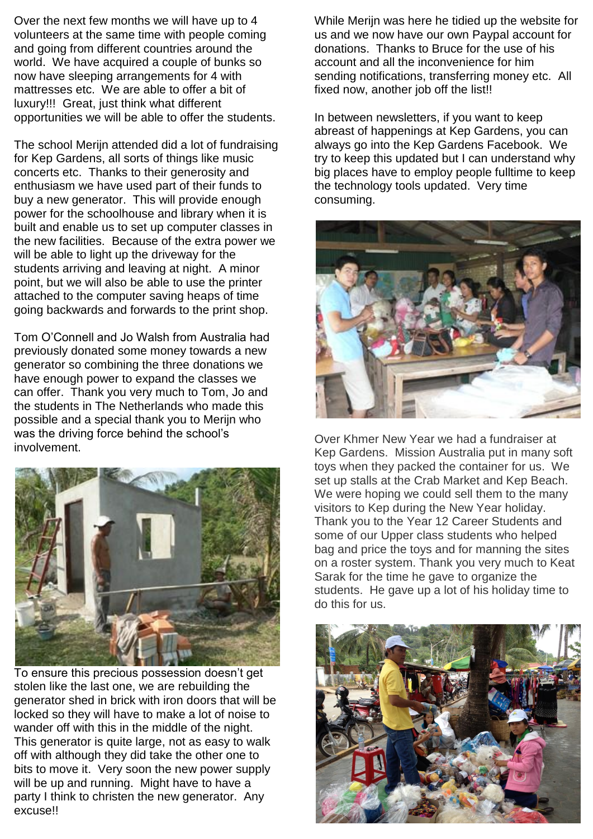Over the next few months we will have up to 4 volunteers at the same time with people coming and going from different countries around the world. We have acquired a couple of bunks so now have sleeping arrangements for 4 with mattresses etc. We are able to offer a bit of luxury!!! Great, just think what different opportunities we will be able to offer the students.

The school Merijn attended did a lot of fundraising for Kep Gardens, all sorts of things like music concerts etc. Thanks to their generosity and enthusiasm we have used part of their funds to buy a new generator. This will provide enough power for the schoolhouse and library when it is built and enable us to set up computer classes in the new facilities. Because of the extra power we will be able to light up the driveway for the students arriving and leaving at night. A minor point, but we will also be able to use the printer attached to the computer saving heaps of time going backwards and forwards to the print shop.

Tom O'Connell and Jo Walsh from Australia had previously donated some money towards a new generator so combining the three donations we have enough power to expand the classes we can offer. Thank you very much to Tom, Jo and the students in The Netherlands who made this possible and a special thank you to Merijn who was the driving force behind the school's involvement.



To ensure this precious possession doesn't get stolen like the last one, we are rebuilding the generator shed in brick with iron doors that will be locked so they will have to make a lot of noise to wander off with this in the middle of the night. This generator is quite large, not as easy to walk off with although they did take the other one to bits to move it. Very soon the new power supply will be up and running. Might have to have a party I think to christen the new generator. Any excuse!!

While Merijn was here he tidied up the website for us and we now have our own Paypal account for donations. Thanks to Bruce for the use of his account and all the inconvenience for him sending notifications, transferring money etc. All fixed now, another job off the list!!

In between newsletters, if you want to keep abreast of happenings at Kep Gardens, you can always go into the Kep Gardens Facebook. We try to keep this updated but I can understand why big places have to employ people fulltime to keep the technology tools updated. Very time consuming.



Over Khmer New Year we had a fundraiser at Kep Gardens. Mission Australia put in many soft toys when they packed the container for us. We set up stalls at the Crab Market and Kep Beach. We were hoping we could sell them to the many visitors to Kep during the New Year holiday. Thank you to the Year 12 Career Students and some of our Upper class students who helped bag and price the toys and for manning the sites on a roster system. Thank you very much to Keat Sarak for the time he gave to organize the students. He gave up a lot of his holiday time to do this for us.

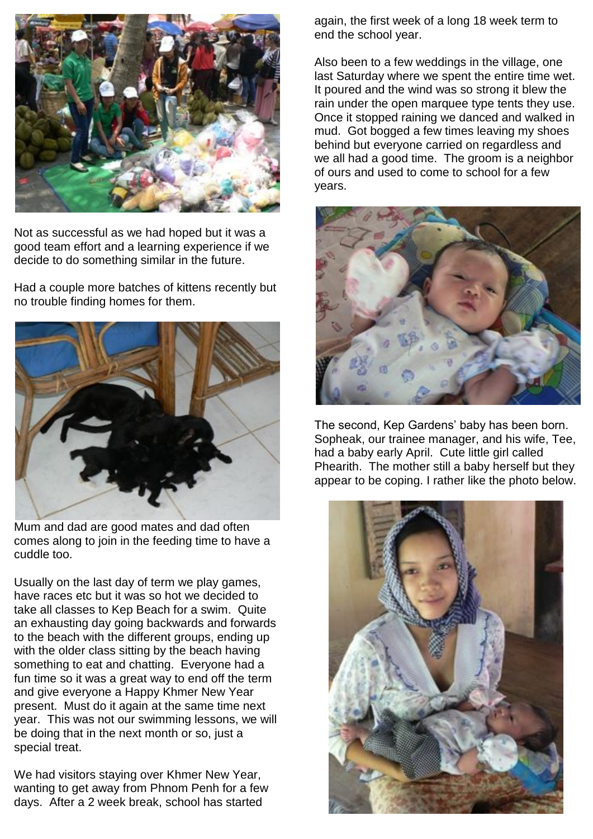

Not as successful as we had hoped but it was a good team effort and a learning experience if we decide to do something similar in the future.

Had a couple more batches of kittens recently but no trouble finding homes for them.



Mum and dad are good mates and dad often comes along to join in the feeding time to have a cuddle too.

Usually on the last day of term we play games, have races etc but it was so hot we decided to take all classes to Kep Beach for a swim. Quite an exhausting day going backwards and forwards to the beach with the different groups, ending up with the older class sitting by the beach having something to eat and chatting. Everyone had a fun time so it was a great way to end off the term and give everyone a Happy Khmer New Year present. Must do it again at the same time next year. This was not our swimming lessons, we will be doing that in the next month or so, just a special treat.

We had visitors staying over Khmer New Year, wanting to get away from Phnom Penh for a few days. After a 2 week break, school has started

again, the first week of a long 18 week term to end the school year.

Also been to a few weddings in the village, one last Saturday where we spent the entire time wet. It poured and the wind was so strong it blew the rain under the open marquee type tents they use. Once it stopped raining we danced and walked in mud. Got bogged a few times leaving my shoes behind but everyone carried on regardless and we all had a good time. The groom is a neighbor of ours and used to come to school for a few years.



The second, Kep Gardens' baby has been born. Sopheak, our trainee manager, and his wife, Tee, had a baby early April. Cute little girl called Phearith. The mother still a baby herself but they appear to be coping. I rather like the photo below.